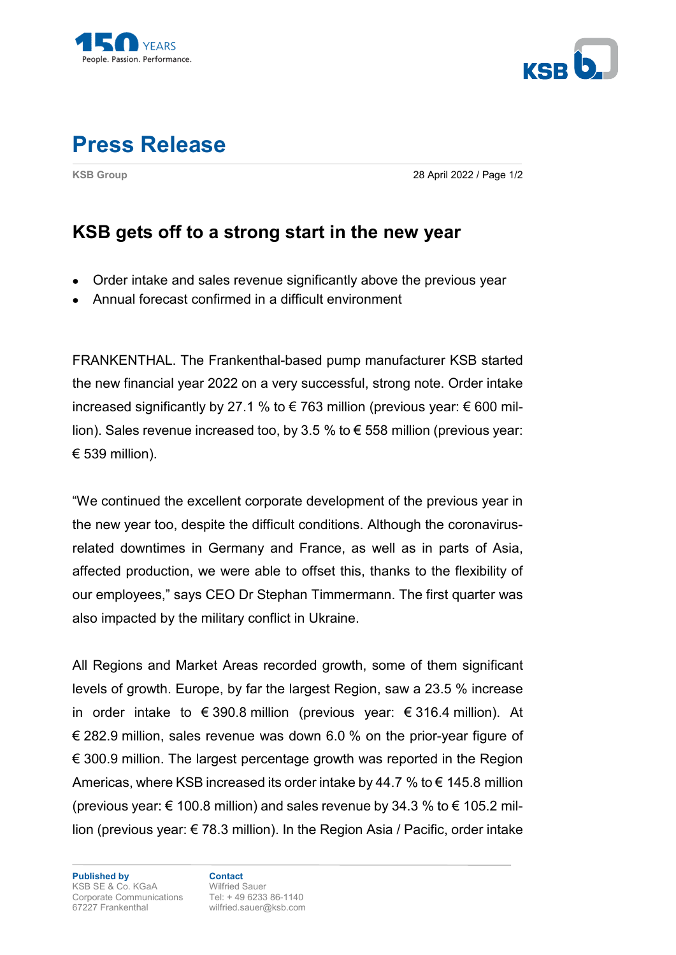



## **Press Release**

**KSB Group** 28 April 2022 / Page 1/2

## **KSB gets off to a strong start in the new year**

- Order intake and sales revenue significantly above the previous year
- Annual forecast confirmed in a difficult environment

FRANKENTHAL. The Frankenthal-based pump manufacturer KSB started the new financial year 2022 on a very successful, strong note. Order intake increased significantly by 27.1 % to € 763 million (previous year:  $∈ 600$  million). Sales revenue increased too, by 3.5 % to € 558 million (previous year: € 539 million).

"We continued the excellent corporate development of the previous year in the new year too, despite the difficult conditions. Although the coronavirusrelated downtimes in Germany and France, as well as in parts of Asia, affected production, we were able to offset this, thanks to the flexibility of our employees," says CEO Dr Stephan Timmermann. The first quarter was also impacted by the military conflict in Ukraine.

All Regions and Market Areas recorded growth, some of them significant levels of growth. Europe, by far the largest Region, saw a 23.5 % increase in order intake to  $\epsilon$  390.8 million (previous year:  $\epsilon$  316.4 million). At € 282.9 million, sales revenue was down 6.0 % on the prior-year figure of  $€$  300.9 million. The largest percentage growth was reported in the Region Americas, where KSB increased its order intake by 44.7 % to  $\epsilon$  145.8 million (previous year:  $\epsilon$  100.8 million) and sales revenue by 34.3 % to  $\epsilon$  105.2 million (previous year: € 78.3 million). In the Region Asia / Pacific, order intake

**Published by Contact**  KSB SE & Co. KGaA Wilfried Sauer Corporate Communications Tel: + 49 6233 86-1140 67227 Frankenthal wilfried.sauer@ksb.com